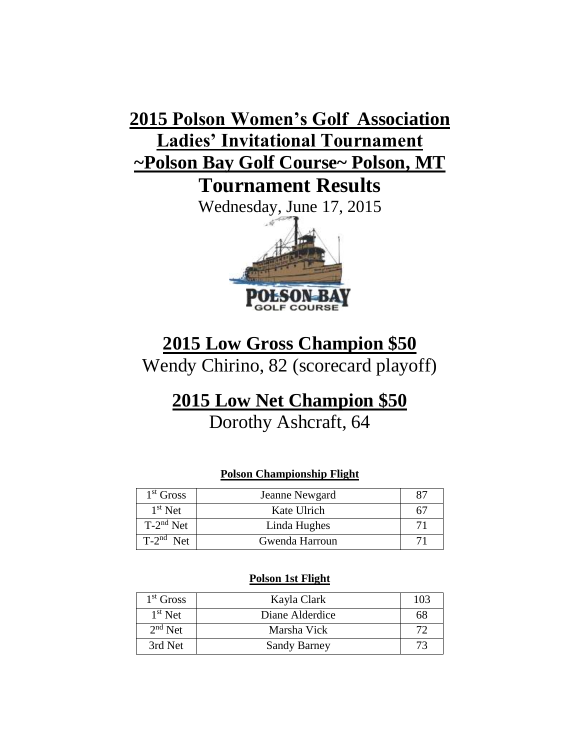# **2015 Polson Women's Golf Association Ladies' Invitational Tournament ~Polson Bay Golf Course~ Polson, MT**

**Tournament Results**

Wednesday, June 17, 2015



### **2015 Low Gross Champion \$50**

Wendy Chirino, 82 (scorecard playoff)

## **2015 Low Net Champion \$50**

Dorothy Ashcraft, 64

#### **Polson Championship Flight**

| $1st$ Gross    | Jeanne Newgard |    |
|----------------|----------------|----|
| $1st$ Net      | Kate Ulrich    | 67 |
| $T-2^{nd}$ Net | Linda Hughes   |    |
| $T-2^{nd}$ Net | Gwenda Harroun |    |

#### **Polson 1st Flight**

| $1st$ Gross | Kayla Clark         | 103 |
|-------------|---------------------|-----|
| $1st$ Net   | Diane Alderdice     | 68  |
| $2nd$ Net   | Marsha Vick         | 72  |
| 3rd Net     | <b>Sandy Barney</b> | 73  |